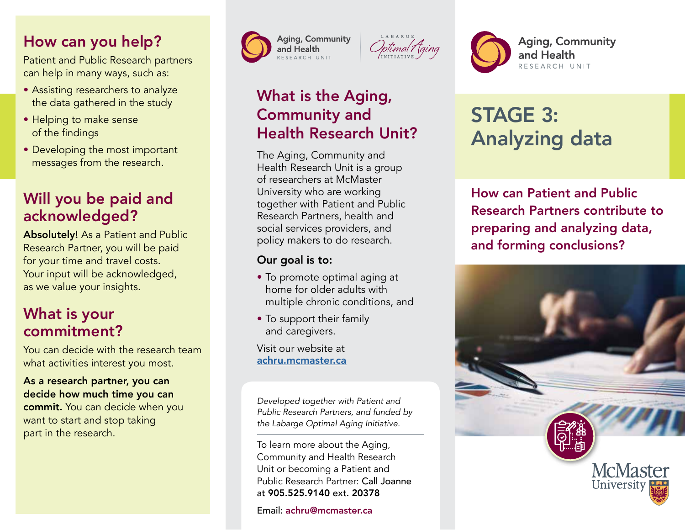### How can you help?

Patient and Public Research partners can help in many ways, such as:

- Assisting researchers to analyze the data gathered in the study
- Helping to make sense of the findings
- Developing the most important messages from the research.

## Will you be paid and acknowledged?

Absolutely! As a Patient and Public Research Partner, you will be paid for your time and travel costs. Your input will be acknowledged, as we value your insights.

### What is your commitment?

You can decide with the research team what activities interest you most.

#### As a research partner, you can decide how much time you can commit. You can decide when you want to start and stop taking part in the research.





# What is the Aging, Community and Health Research Unit?

The Aging, Community and Health Research Unit is a group of researchers at McMaster University who are working together with Patient and Public Research Partners, health and social services providers, and policy makers to do research.

### Our goal is to:

- To promote optimal aging at home for older adults with multiple chronic conditions, and
- To support their family and caregivers.

Visit our website at [achru.mcmaster.ca](https://achru.mcmaster.ca)

*Developed together with Patient and Public Research Partners, and funded by the Labarge Optimal Aging Initiative.*

To learn more about the Aging, Community and Health Research Unit or becoming a Patient and Public Research Partner: Call Joanne at 905.525.9140 ext. 20378

Email: achru@mcmaster.ca

# STAGE 3: Analyzing data

and Health

RESEARCH UNIT

How can Patient and Public Research Partners contribute to preparing and analyzing data, and forming conclusions?

**Aging, Community**